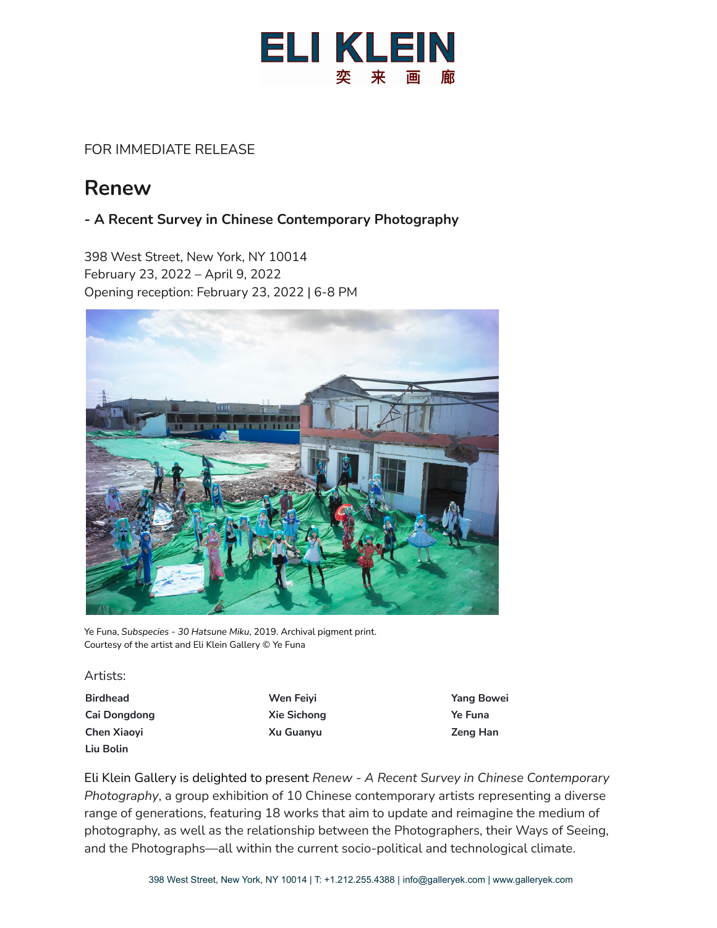

### FOR IMMEDIATE RELEASE

# **Renew**

### **- A Recent Survey in Chinese Contemporary Photography**

398 West Street, New York, NY 10014 February 23, 2022 – April 9, 2022 Opening reception: February 23, 2022 | 6-8 PM



Ye Funa, *Subspecies - 30 Hatsune Miku*, 2019. Archival pigment print. Courtesy of the artist and Eli Klein Gallery © Ye Funa

Artists:

- **Birdhead Wen Feiyi Yang Bowei Cai Dongdong Xie Sichong Ye Funa Chen Xiaoyi Xu Guanyu Zeng Han Liu Bolin**
- 

Eli Klein Gallery is delighted to present *Renew - A Recent Survey in Chinese Contemporary Photography*, a group exhibition of 10 Chinese contemporary artists representing a diverse range of generations, featuring 18 works that aim to update and reimagine the medium of photography, as well as the relationship between the Photographers, their Ways of Seeing, and the Photographs—all within the current socio-political and technological climate.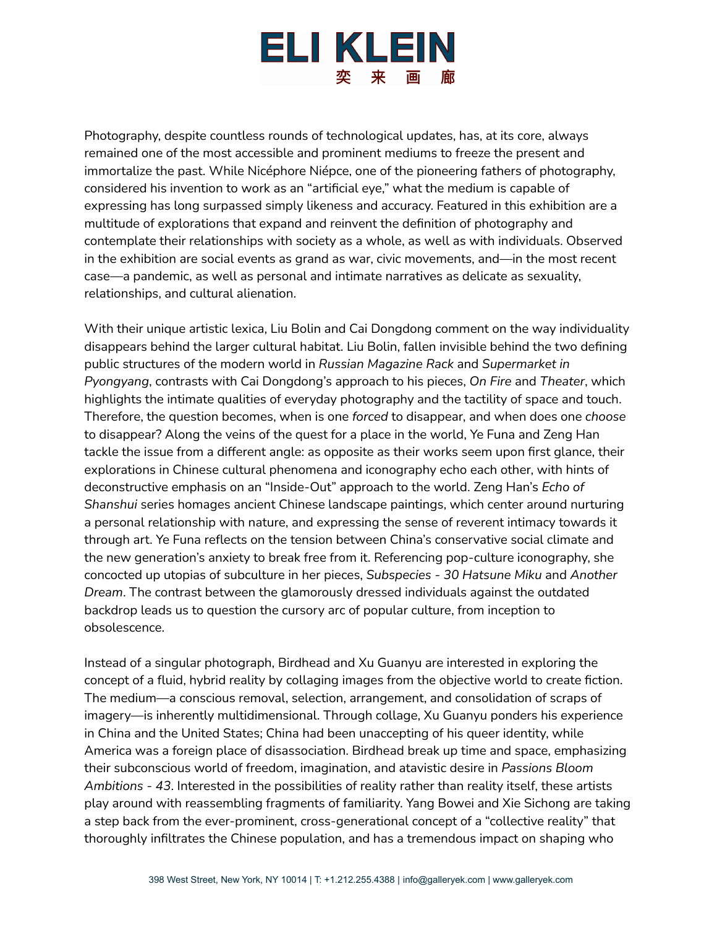## ELI KLEIN 奕 来

Photography, despite countless rounds of technological updates, has, at its core, always remained one of the most accessible and prominent mediums to freeze the present and immortalize the past. While Nicéphore Niépce, one of the pioneering fathers of photography, considered his invention to work as an "artificial eye," what the medium is capable of expressing has long surpassed simply likeness and accuracy. Featured in this exhibition are a multitude of explorations that expand and reinvent the definition of photography and contemplate their relationships with society as a whole, as well as with individuals. Observed in the exhibition are social events as grand as war, civic movements, and—in the most recent case—a pandemic, as well as personal and intimate narratives as delicate as sexuality, relationships, and cultural alienation.

With their unique artistic lexica, Liu Bolin and Cai Dongdong comment on the way individuality disappears behind the larger cultural habitat. Liu Bolin, fallen invisible behind the two defining public structures of the modern world in *Russian Magazine Rack* and *Supermarket in Pyongyang*, contrasts with Cai Dongdong's approach to his pieces, *On Fire* and *Theater*, which highlights the intimate qualities of everyday photography and the tactility of space and touch. Therefore, the question becomes, when is one *forced* to disappear, and when does one *choose* to disappear? Along the veins of the quest for a place in the world, Ye Funa and Zeng Han tackle the issue from a different angle: as opposite as their works seem upon first glance, their explorations in Chinese cultural phenomena and iconography echo each other, with hints of deconstructive emphasis on an "Inside-Out" approach to the world. Zeng Han's *Echo of Shanshui* series homages ancient Chinese landscape paintings, which center around nurturing a personal relationship with nature, and expressing the sense of reverent intimacy towards it through art. Ye Funa reflects on the tension between China's conservative social climate and the new generation's anxiety to break free from it. Referencing pop-culture iconography, she concocted up utopias of subculture in her pieces, *Subspecies - 30 Hatsune Miku* and *Another Dream*. The contrast between the glamorously dressed individuals against the outdated backdrop leads us to question the cursory arc of popular culture, from inception to obsolescence.

Instead of a singular photograph, Birdhead and Xu Guanyu are interested in exploring the concept of a fluid, hybrid reality by collaging images from the objective world to create fiction. The medium—a conscious removal, selection, arrangement, and consolidation of scraps of imagery—is inherently multidimensional. Through collage, Xu Guanyu ponders his experience in China and the United States; China had been unaccepting of his queer identity, while America was a foreign place of disassociation. Birdhead break up time and space, emphasizing their subconscious world of freedom, imagination, and atavistic desire in *Passions Bloom Ambitions - 43*. Interested in the possibilities of reality rather than reality itself, these artists play around with reassembling fragments of familiarity. Yang Bowei and Xie Sichong are taking a step back from the ever-prominent, cross-generational concept of a "collective reality" that thoroughly infiltrates the Chinese population, and has a tremendous impact on shaping who